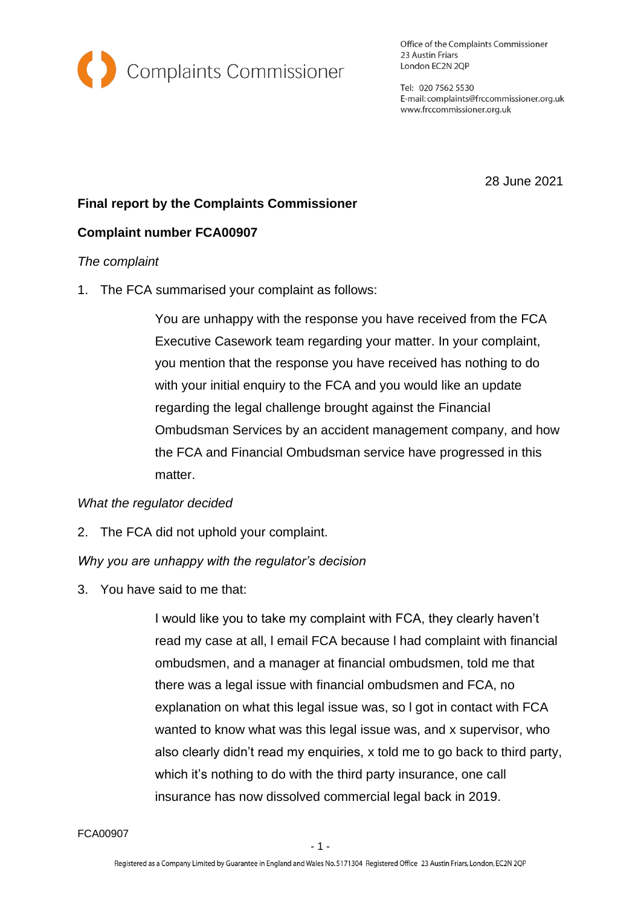

Office of the Complaints Commissioner 23 Austin Friars London EC2N 2QP

Tel: 020 7562 5530 E-mail: complaints@frccommissioner.org.uk www.frccommissioner.org.uk

28 June 2021

# **Final report by the Complaints Commissioner**

### **Complaint number FCA00907**

#### *The complaint*

1. The FCA summarised your complaint as follows:

You are unhappy with the response you have received from the FCA Executive Casework team regarding your matter. In your complaint, you mention that the response you have received has nothing to do with your initial enquiry to the FCA and you would like an update regarding the legal challenge brought against the Financial Ombudsman Services by an accident management company, and how the FCA and Financial Ombudsman service have progressed in this matter.

#### *What the regulator decided*

2. The FCA did not uphold your complaint.

# *Why you are unhappy with the regulator's decision*

3. You have said to me that:

I would like you to take my complaint with FCA, they clearly haven't read my case at all, l email FCA because l had complaint with financial ombudsmen, and a manager at financial ombudsmen, told me that there was a legal issue with financial ombudsmen and FCA, no explanation on what this legal issue was, so l got in contact with FCA wanted to know what was this legal issue was, and x supervisor, who also clearly didn't read my enquiries, x told me to go back to third party, which it's nothing to do with the third party insurance, one call insurance has now dissolved commercial legal back in 2019.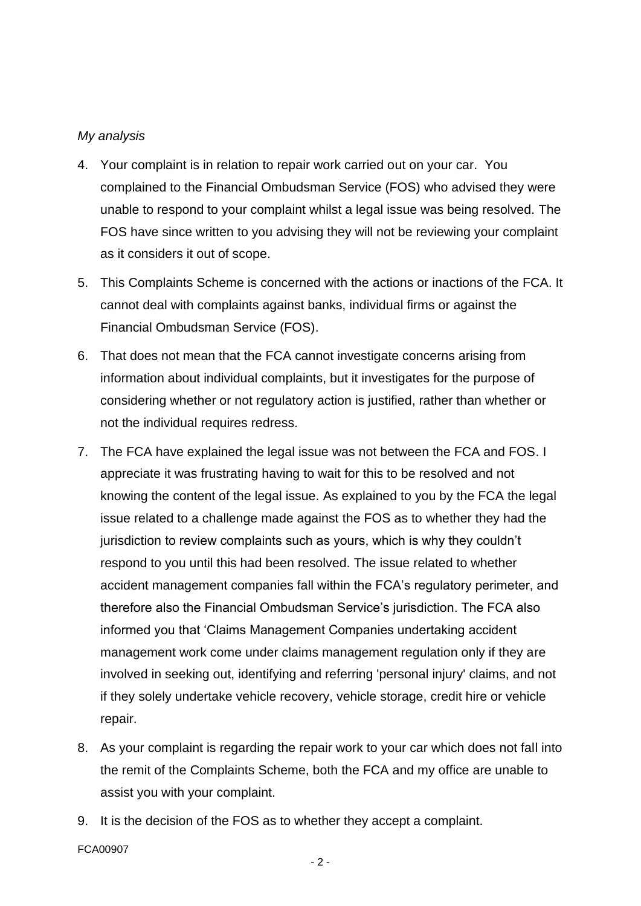### *My analysis*

- 4. Your complaint is in relation to repair work carried out on your car. You complained to the Financial Ombudsman Service (FOS) who advised they were unable to respond to your complaint whilst a legal issue was being resolved. The FOS have since written to you advising they will not be reviewing your complaint as it considers it out of scope.
- 5. This Complaints Scheme is concerned with the actions or inactions of the FCA. It cannot deal with complaints against banks, individual firms or against the Financial Ombudsman Service (FOS).
- 6. That does not mean that the FCA cannot investigate concerns arising from information about individual complaints, but it investigates for the purpose of considering whether or not regulatory action is justified, rather than whether or not the individual requires redress.
- 7. The FCA have explained the legal issue was not between the FCA and FOS. I appreciate it was frustrating having to wait for this to be resolved and not knowing the content of the legal issue. As explained to you by the FCA the legal issue related to a challenge made against the FOS as to whether they had the jurisdiction to review complaints such as yours, which is why they couldn't respond to you until this had been resolved. The issue related to whether accident management companies fall within the FCA's regulatory perimeter, and therefore also the Financial Ombudsman Service's jurisdiction. The FCA also informed you that 'Claims Management Companies undertaking accident management work come under claims management regulation only if they are involved in seeking out, identifying and referring 'personal injury' claims, and not if they solely undertake vehicle recovery, vehicle storage, credit hire or vehicle repair.
- 8. As your complaint is regarding the repair work to your car which does not fall into the remit of the Complaints Scheme, both the FCA and my office are unable to assist you with your complaint.
- 9. It is the decision of the FOS as to whether they accept a complaint.

FCA00907